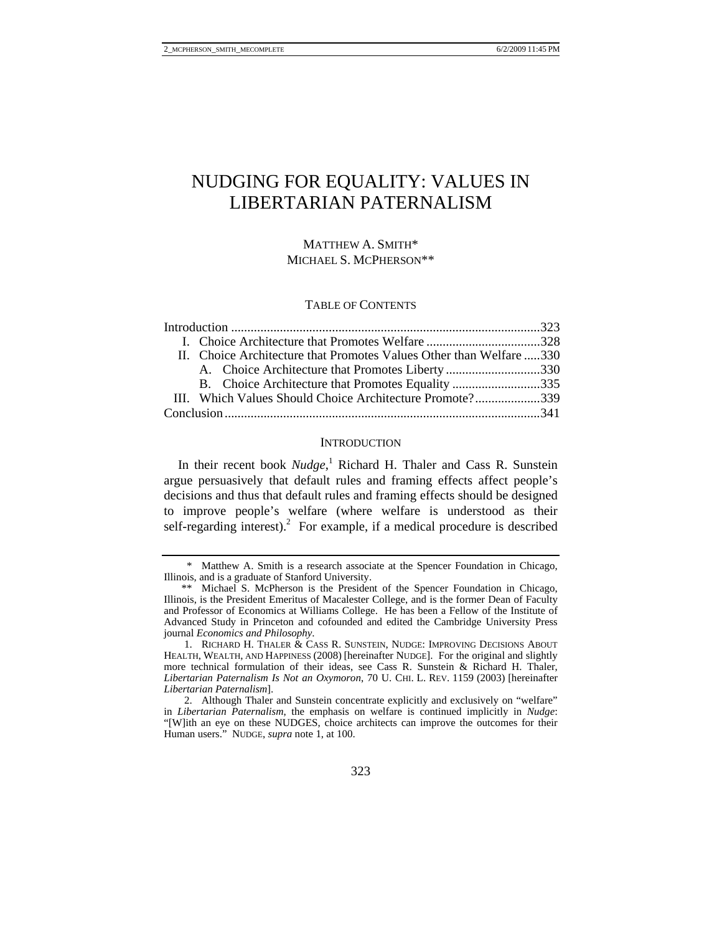# NUDGING FOR EQUALITY: VALUES IN LIBERTARIAN PATERNALISM

# MATTHEW A. SMITH\* MICHAEL S. MCPHERSON\*\*

## TABLE OF CONTENTS

|  | II. Choice Architecture that Promotes Values Other than Welfare 330 |  |
|--|---------------------------------------------------------------------|--|
|  | A. Choice Architecture that Promotes Liberty 330                    |  |
|  | B. Choice Architecture that Promotes Equality 335                   |  |
|  | III. Which Values Should Choice Architecture Promote?339            |  |
|  |                                                                     |  |

#### **INTRODUCTION**

In their recent book *Nudge*,<sup>1</sup> Richard H. Thaler and Cass R. Sunstein argue persuasively that default rules and framing effects affect people's decisions and thus that default rules and framing effects should be designed to improve people's welfare (where welfare is understood as their self-regarding interest).<sup>2</sup> For example, if a medical procedure is described

 <sup>\*</sup> Matthew A. Smith is a research associate at the Spencer Foundation in Chicago, Illinois, and is a graduate of Stanford University.

 <sup>\*\*</sup> Michael S. McPherson is the President of the Spencer Foundation in Chicago, Illinois, is the President Emeritus of Macalester College, and is the former Dean of Faculty and Professor of Economics at Williams College. He has been a Fellow of the Institute of Advanced Study in Princeton and cofounded and edited the Cambridge University Press journal *Economics and Philosophy*.

 <sup>1.</sup> RICHARD H. THALER & CASS R. SUNSTEIN, NUDGE: IMPROVING DECISIONS ABOUT HEALTH, WEALTH, AND HAPPINESS (2008) [hereinafter NUDGE]. For the original and slightly more technical formulation of their ideas, see Cass R. Sunstein & Richard H. Thaler, *Libertarian Paternalism Is Not an Oxymoron*, 70 U. CHI. L. REV. 1159 (2003) [hereinafter *Libertarian Paternalism*].

 <sup>2.</sup> Although Thaler and Sunstein concentrate explicitly and exclusively on "welfare" in *Libertarian Paternalism*, the emphasis on welfare is continued implicitly in *Nudge*: "[W]ith an eye on these NUDGES, choice architects can improve the outcomes for their Human users." NUDGE, *supra* note 1, at 100.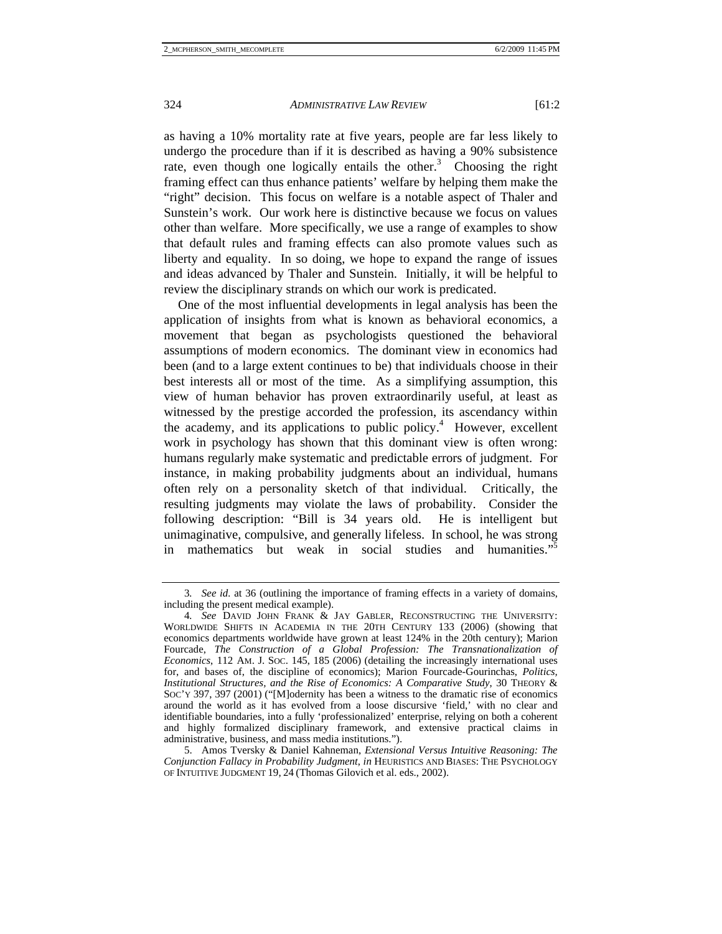as having a 10% mortality rate at five years, people are far less likely to undergo the procedure than if it is described as having a 90% subsistence rate, even though one logically entails the other.<sup>3</sup> Choosing the right framing effect can thus enhance patients' welfare by helping them make the "right" decision. This focus on welfare is a notable aspect of Thaler and Sunstein's work. Our work here is distinctive because we focus on values other than welfare. More specifically, we use a range of examples to show that default rules and framing effects can also promote values such as liberty and equality. In so doing, we hope to expand the range of issues and ideas advanced by Thaler and Sunstein. Initially, it will be helpful to review the disciplinary strands on which our work is predicated.

One of the most influential developments in legal analysis has been the application of insights from what is known as behavioral economics, a movement that began as psychologists questioned the behavioral assumptions of modern economics. The dominant view in economics had been (and to a large extent continues to be) that individuals choose in their best interests all or most of the time. As a simplifying assumption, this view of human behavior has proven extraordinarily useful, at least as witnessed by the prestige accorded the profession, its ascendancy within the academy, and its applications to public policy.<sup>4</sup> However, excellent work in psychology has shown that this dominant view is often wrong: humans regularly make systematic and predictable errors of judgment. For instance, in making probability judgments about an individual, humans often rely on a personality sketch of that individual. Critically, the resulting judgments may violate the laws of probability. Consider the following description: "Bill is 34 years old. He is intelligent but unimaginative, compulsive, and generally lifeless. In school, he was strong in mathematics but weak in social studies and humanities."5

<sup>3</sup>*. See id.* at 36 (outlining the importance of framing effects in a variety of domains, including the present medical example).

<sup>4</sup>*. See* DAVID JOHN FRANK & JAY GABLER, RECONSTRUCTING THE UNIVERSITY: WORLDWIDE SHIFTS IN ACADEMIA IN THE 20TH CENTURY 133 (2006) (showing that economics departments worldwide have grown at least 124% in the 20th century); Marion Fourcade, *The Construction of a Global Profession: The Transnationalization of Economics*, 112 AM. J. SOC. 145, 185 (2006) (detailing the increasingly international uses for, and bases of, the discipline of economics); Marion Fourcade-Gourinchas, *Politics, Institutional Structures, and the Rise of Economics: A Comparative Study*, 30 THEORY & SOC'Y 397, 397 (2001) ("[M]odernity has been a witness to the dramatic rise of economics around the world as it has evolved from a loose discursive 'field,' with no clear and identifiable boundaries, into a fully 'professionalized' enterprise, relying on both a coherent and highly formalized disciplinary framework, and extensive practical claims in administrative, business, and mass media institutions.").

 <sup>5.</sup> Amos Tversky & Daniel Kahneman, *Extensional Versus Intuitive Reasoning: The Conjunction Fallacy in Probability Judgment*, *in* HEURISTICS AND BIASES: THE PSYCHOLOGY OF INTUITIVE JUDGMENT 19, 24 (Thomas Gilovich et al. eds., 2002).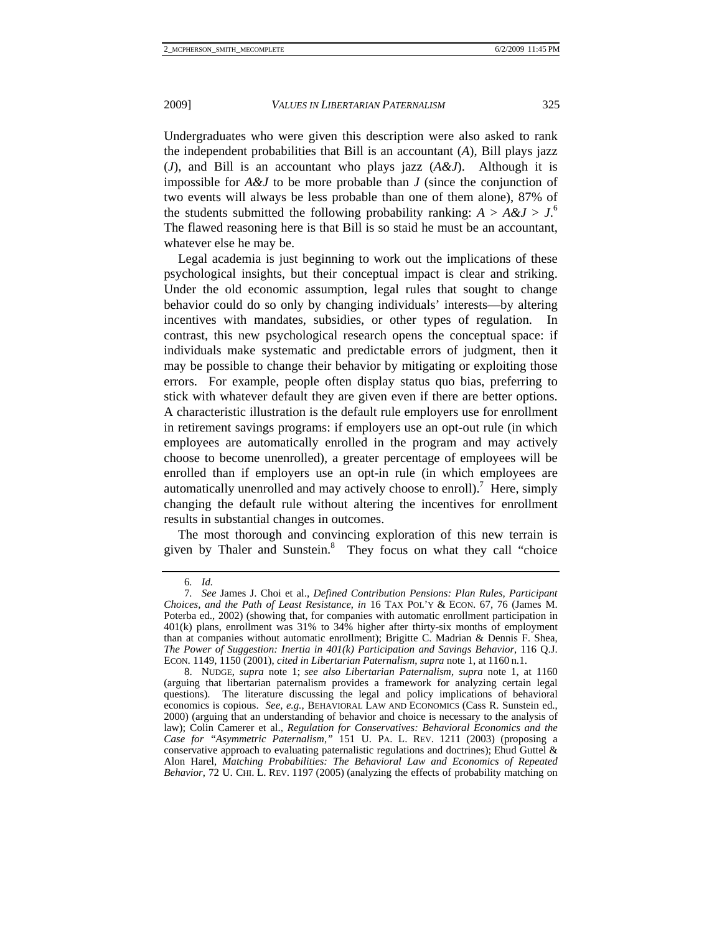Undergraduates who were given this description were also asked to rank the independent probabilities that Bill is an accountant (*A*), Bill plays jazz (*J*), and Bill is an accountant who plays jazz (*A&J*). Although it is impossible for *A&J* to be more probable than *J* (since the conjunction of two events will always be less probable than one of them alone), 87% of the students submitted the following probability ranking:  $A > A \& J > J$ <sup>6</sup> The flawed reasoning here is that Bill is so staid he must be an accountant, whatever else he may be.

Legal academia is just beginning to work out the implications of these psychological insights, but their conceptual impact is clear and striking. Under the old economic assumption, legal rules that sought to change behavior could do so only by changing individuals' interests—by altering incentives with mandates, subsidies, or other types of regulation. In contrast, this new psychological research opens the conceptual space: if individuals make systematic and predictable errors of judgment, then it may be possible to change their behavior by mitigating or exploiting those errors. For example, people often display status quo bias, preferring to stick with whatever default they are given even if there are better options. A characteristic illustration is the default rule employers use for enrollment in retirement savings programs: if employers use an opt-out rule (in which employees are automatically enrolled in the program and may actively choose to become unenrolled), a greater percentage of employees will be enrolled than if employers use an opt-in rule (in which employees are automatically unenrolled and may actively choose to enroll).<sup>7</sup> Here, simply changing the default rule without altering the incentives for enrollment results in substantial changes in outcomes.

The most thorough and convincing exploration of this new terrain is given by Thaler and Sunstein.<sup>8</sup> They focus on what they call "choice

<sup>6</sup>*. Id.*

<sup>7</sup>*. See* James J. Choi et al., *Defined Contribution Pensions: Plan Rules, Participant Choices, and the Path of Least Resistance*, *in* 16 TAX POL'Y & ECON. 67, 76 (James M. Poterba ed., 2002) (showing that, for companies with automatic enrollment participation in 401(k) plans, enrollment was 31% to 34% higher after thirty-six months of employment than at companies without automatic enrollment); Brigitte C. Madrian & Dennis F. Shea, *The Power of Suggestion: Inertia in 401(k) Participation and Savings Behavior*, 116 Q.J. ECON. 1149, 1150 (2001), *cited in Libertarian Paternalism*, *supra* note 1, at 1160 n.1.

 <sup>8.</sup> NUDGE, *supra* note 1; *see also Libertarian Paternalism*, *supra* note 1, at 1160 (arguing that libertarian paternalism provides a framework for analyzing certain legal questions). The literature discussing the legal and policy implications of behavioral economics is copious. *See, e.g.*, BEHAVIORAL LAW AND ECONOMICS (Cass R. Sunstein ed., 2000) (arguing that an understanding of behavior and choice is necessary to the analysis of law); Colin Camerer et al., *Regulation for Conservatives: Behavioral Economics and the Case for "Asymmetric Paternalism*,*"* 151 U. PA. L. REV. 1211 (2003) (proposing a conservative approach to evaluating paternalistic regulations and doctrines); Ehud Guttel  $\&$ Alon Harel, *Matching Probabilities: The Behavioral Law and Economics of Repeated Behavior*, 72 U. CHI. L. REV. 1197 (2005) (analyzing the effects of probability matching on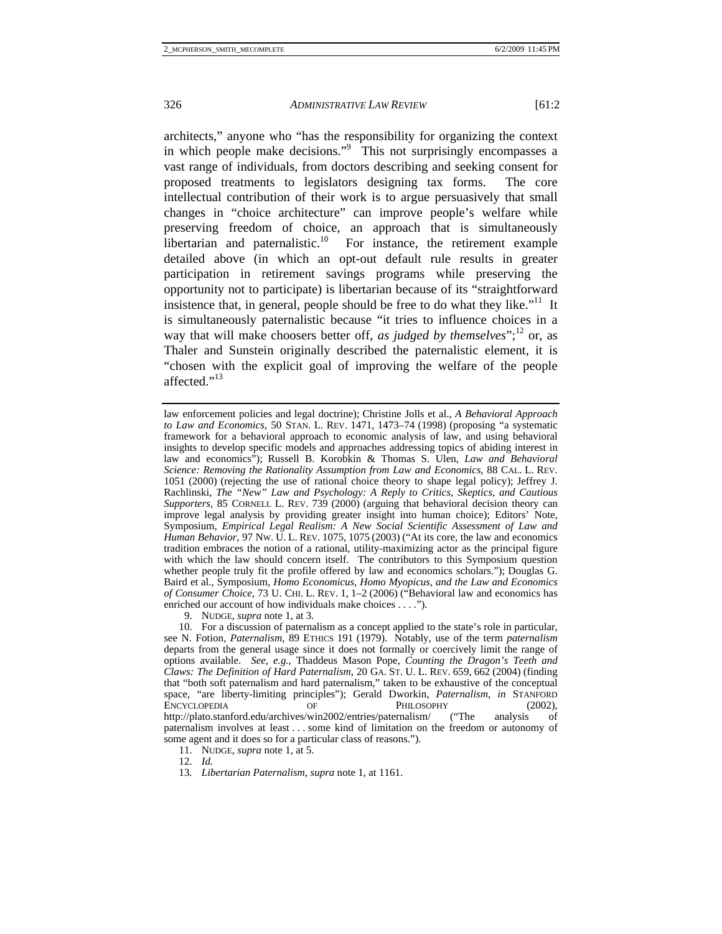architects," anyone who "has the responsibility for organizing the context in which people make decisions."<sup>9</sup> This not surprisingly encompasses a vast range of individuals, from doctors describing and seeking consent for proposed treatments to legislators designing tax forms. The core intellectual contribution of their work is to argue persuasively that small changes in "choice architecture" can improve people's welfare while preserving freedom of choice, an approach that is simultaneously libertarian and paternalistic.<sup>10</sup> For instance, the retirement example detailed above (in which an opt-out default rule results in greater participation in retirement savings programs while preserving the opportunity not to participate) is libertarian because of its "straightforward insistence that, in general, people should be free to do what they like. $11$  It is simultaneously paternalistic because "it tries to influence choices in a way that will make choosers better off, *as judged by themselves*";<sup>12</sup> or, as Thaler and Sunstein originally described the paternalistic element, it is "chosen with the explicit goal of improving the welfare of the people affected."<sup>13</sup>

9. NUDGE, *supra* note 1, at 3.

law enforcement policies and legal doctrine); Christine Jolls et al., *A Behavioral Approach to Law and Economics*, 50 STAN. L. REV. 1471, 1473–74 (1998) (proposing "a systematic framework for a behavioral approach to economic analysis of law, and using behavioral insights to develop specific models and approaches addressing topics of abiding interest in law and economics"); Russell B. Korobkin & Thomas S. Ulen, *Law and Behavioral Science: Removing the Rationality Assumption from Law and Economics*, 88 CAL. L. REV. 1051 (2000) (rejecting the use of rational choice theory to shape legal policy); Jeffrey J. Rachlinski, *The "New" Law and Psychology: A Reply to Critics, Skeptics, and Cautious Supporters*, 85 CORNELL L. REV. 739 (2000) (arguing that behavioral decision theory can improve legal analysis by providing greater insight into human choice); Editors' Note, Symposium, *Empirical Legal Realism: A New Social Scientific Assessment of Law and Human Behavior*, 97 NW. U. L. REV. 1075, 1075 (2003) ("At its core, the law and economics tradition embraces the notion of a rational, utility-maximizing actor as the principal figure with which the law should concern itself. The contributors to this Symposium question whether people truly fit the profile offered by law and economics scholars."); Douglas G. Baird et al., Symposium, *Homo Economicus, Homo Myopicus, and the Law and Economics of Consumer Choice*, 73 U. CHI. L. REV. 1, 1–2 (2006) ("Behavioral law and economics has enriched our account of how individuals make choices . . . .").

 <sup>10.</sup> For a discussion of paternalism as a concept applied to the state's role in particular, see N. Fotion, *Paternalism*, 89 ETHICS 191 (1979). Notably, use of the term *paternalism* departs from the general usage since it does not formally or coercively limit the range of options available. *See, e.g.*, Thaddeus Mason Pope, *Counting the Dragon's Teeth and Claws: The Definition of Hard Paternalism*, 20 GA. ST. U. L. REV. 659, 662 (2004) (finding that "both soft paternalism and hard paternalism," taken to be exhaustive of the conceptual space, "are liberty-limiting principles"); Gerald Dworkin, *Paternalism*, *in* STANFORD ENCYCLOPEDIA OF PHILOSOPHY (2002),<br>http://plato.stanford.edu/archives/win2002/entries/paternalism/ ("The analysis of http://plato.stanford.edu/archives/win2002/entries/paternalism/ ("The analysis of paternalism involves at least . . . some kind of limitation on the freedom or autonomy of some agent and it does so for a particular class of reasons.").

 <sup>11.</sup> NUDGE, *supra* note 1, at 5.

 <sup>12.</sup> *Id.*

<sup>13</sup>*. Libertarian Paternalism*, *supra* note 1, at 1161.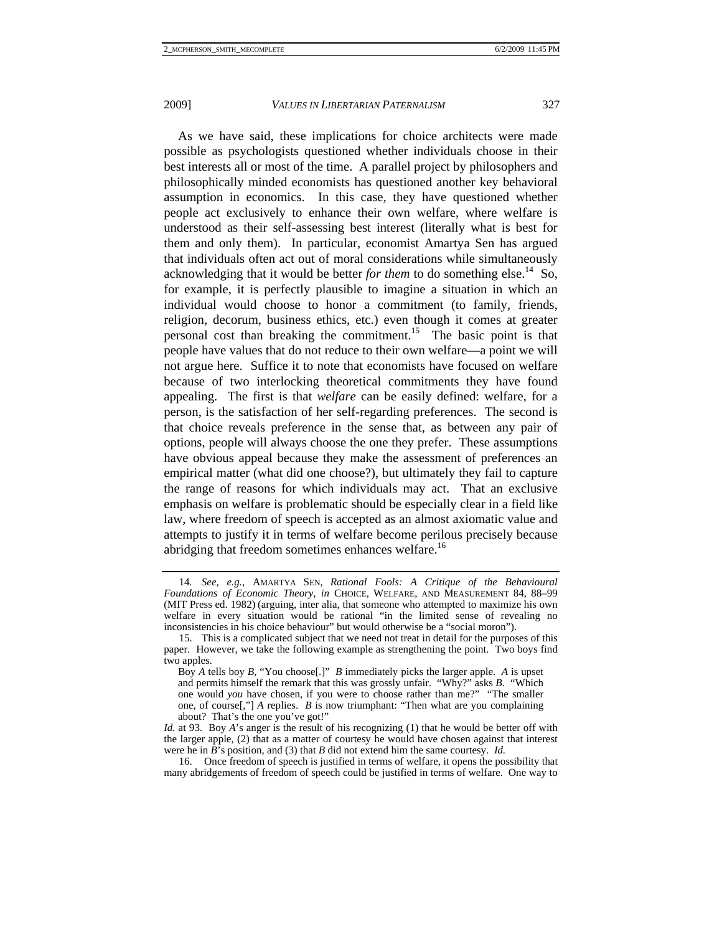As we have said, these implications for choice architects were made possible as psychologists questioned whether individuals choose in their best interests all or most of the time. A parallel project by philosophers and philosophically minded economists has questioned another key behavioral assumption in economics. In this case, they have questioned whether people act exclusively to enhance their own welfare, where welfare is understood as their self-assessing best interest (literally what is best for them and only them). In particular, economist Amartya Sen has argued that individuals often act out of moral considerations while simultaneously acknowledging that it would be better *for them* to do something else.<sup>14</sup> So, for example, it is perfectly plausible to imagine a situation in which an individual would choose to honor a commitment (to family, friends, religion, decorum, business ethics, etc.) even though it comes at greater personal cost than breaking the commitment.15 The basic point is that people have values that do not reduce to their own welfare—a point we will not argue here. Suffice it to note that economists have focused on welfare because of two interlocking theoretical commitments they have found appealing. The first is that *welfare* can be easily defined: welfare, for a person, is the satisfaction of her self-regarding preferences. The second is that choice reveals preference in the sense that, as between any pair of options, people will always choose the one they prefer. These assumptions have obvious appeal because they make the assessment of preferences an empirical matter (what did one choose?), but ultimately they fail to capture the range of reasons for which individuals may act. That an exclusive emphasis on welfare is problematic should be especially clear in a field like law, where freedom of speech is accepted as an almost axiomatic value and attempts to justify it in terms of welfare become perilous precisely because abridging that freedom sometimes enhances welfare.<sup>16</sup>

*Id.* at 93. Boy *A*'s anger is the result of his recognizing (1) that he would be better off with the larger apple, (2) that as a matter of courtesy he would have chosen against that interest were he in *B*'s position, and (3) that *B* did not extend him the same courtesy. *Id.* 

 16. Once freedom of speech is justified in terms of welfare, it opens the possibility that many abridgements of freedom of speech could be justified in terms of welfare. One way to

<sup>14</sup>*. See, e.g.*, AMARTYA SEN, *Rational Fools: A Critique of the Behavioural Foundations of Economic Theory*, *in* CHOICE, WELFARE, AND MEASUREMENT 84, 88–99 (MIT Press ed. 1982) (arguing, inter alia, that someone who attempted to maximize his own welfare in every situation would be rational "in the limited sense of revealing no inconsistencies in his choice behaviour" but would otherwise be a "social moron").

 <sup>15.</sup> This is a complicated subject that we need not treat in detail for the purposes of this paper. However, we take the following example as strengthening the point. Two boys find two apples.

Boy *A* tells boy *B*, "You choose[.]" *B* immediately picks the larger apple. *A* is upset and permits himself the remark that this was grossly unfair. "Why?" asks *B*. "Which one would *you* have chosen, if you were to choose rather than me?" "The smaller one, of course[,"] *A* replies. *B* is now triumphant: "Then what are you complaining about? That's the one you've got!"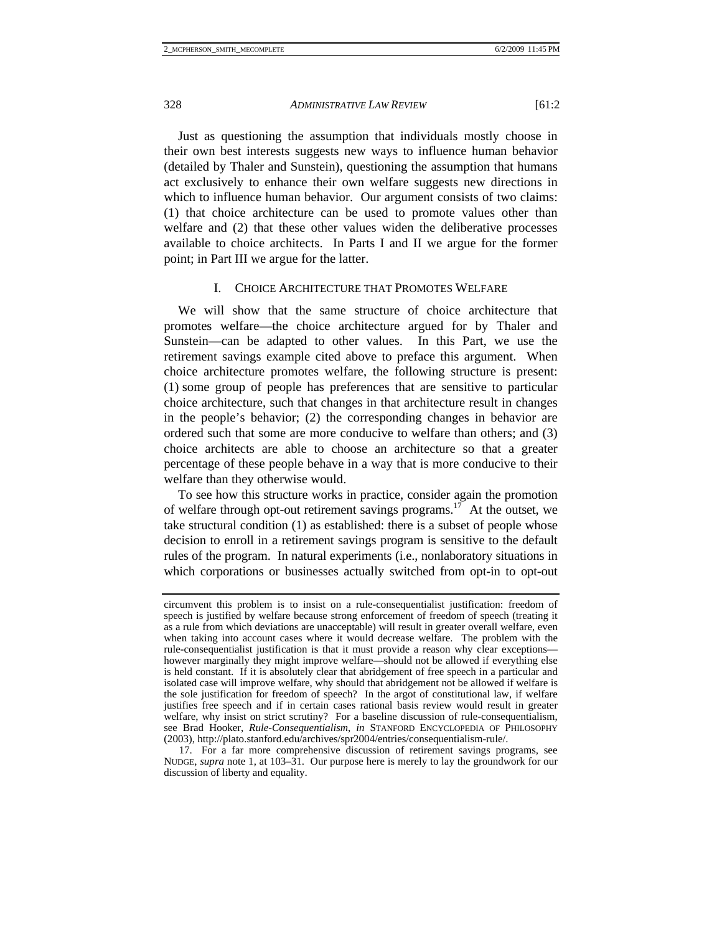Just as questioning the assumption that individuals mostly choose in their own best interests suggests new ways to influence human behavior (detailed by Thaler and Sunstein), questioning the assumption that humans act exclusively to enhance their own welfare suggests new directions in which to influence human behavior. Our argument consists of two claims: (1) that choice architecture can be used to promote values other than welfare and (2) that these other values widen the deliberative processes available to choice architects. In Parts I and II we argue for the former point; in Part III we argue for the latter.

#### I. CHOICE ARCHITECTURE THAT PROMOTES WELFARE

We will show that the same structure of choice architecture that promotes welfare—the choice architecture argued for by Thaler and Sunstein—can be adapted to other values. In this Part, we use the retirement savings example cited above to preface this argument. When choice architecture promotes welfare, the following structure is present: (1) some group of people has preferences that are sensitive to particular choice architecture, such that changes in that architecture result in changes in the people's behavior; (2) the corresponding changes in behavior are ordered such that some are more conducive to welfare than others; and (3) choice architects are able to choose an architecture so that a greater percentage of these people behave in a way that is more conducive to their welfare than they otherwise would.

To see how this structure works in practice, consider again the promotion of welfare through opt-out retirement savings programs.<sup>17</sup> At the outset, we take structural condition (1) as established: there is a subset of people whose decision to enroll in a retirement savings program is sensitive to the default rules of the program. In natural experiments (i.e., nonlaboratory situations in which corporations or businesses actually switched from opt-in to opt-out

circumvent this problem is to insist on a rule-consequentialist justification: freedom of speech is justified by welfare because strong enforcement of freedom of speech (treating it as a rule from which deviations are unacceptable) will result in greater overall welfare, even when taking into account cases where it would decrease welfare. The problem with the rule-consequentialist justification is that it must provide a reason why clear exceptions however marginally they might improve welfare—should not be allowed if everything else is held constant. If it is absolutely clear that abridgement of free speech in a particular and isolated case will improve welfare, why should that abridgement not be allowed if welfare is the sole justification for freedom of speech? In the argot of constitutional law, if welfare justifies free speech and if in certain cases rational basis review would result in greater welfare, why insist on strict scrutiny? For a baseline discussion of rule-consequentialism, see Brad Hooker, *Rule-Consequentialism*, *in* STANFORD ENCYCLOPEDIA OF PHILOSOPHY (2003), http://plato.stanford.edu/archives/spr2004/entries/consequentialism-rule/.

 <sup>17.</sup> For a far more comprehensive discussion of retirement savings programs, see NUDGE, *supra* note 1, at 103–31. Our purpose here is merely to lay the groundwork for our discussion of liberty and equality.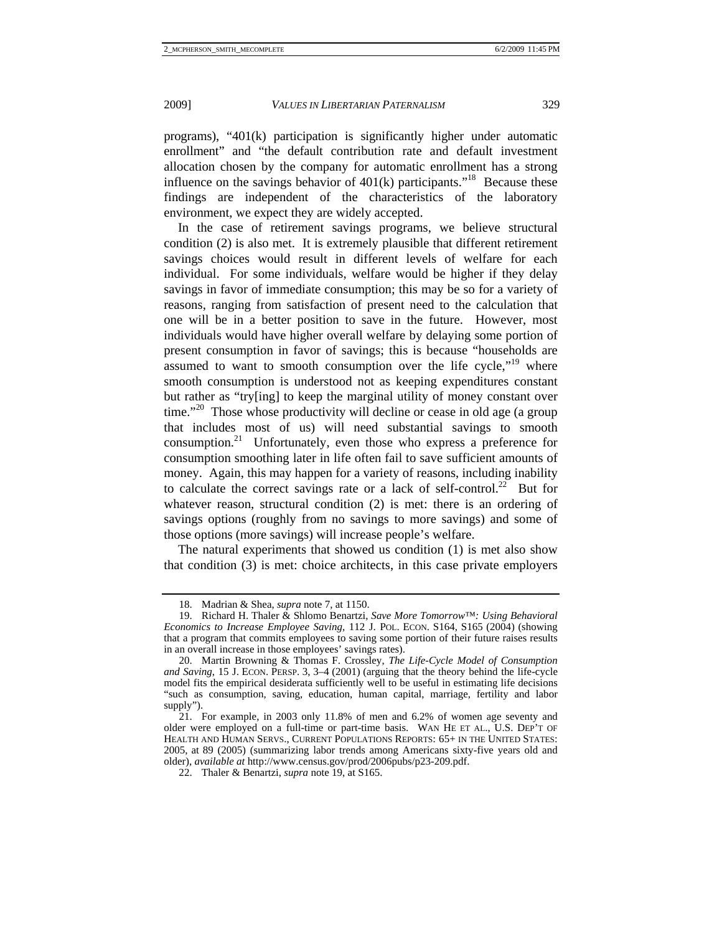programs), "401(k) participation is significantly higher under automatic enrollment" and "the default contribution rate and default investment allocation chosen by the company for automatic enrollment has a strong influence on the savings behavior of  $401(k)$  participants."<sup>18</sup> Because these findings are independent of the characteristics of the laboratory environment, we expect they are widely accepted.

In the case of retirement savings programs, we believe structural condition (2) is also met. It is extremely plausible that different retirement savings choices would result in different levels of welfare for each individual. For some individuals, welfare would be higher if they delay savings in favor of immediate consumption; this may be so for a variety of reasons, ranging from satisfaction of present need to the calculation that one will be in a better position to save in the future. However, most individuals would have higher overall welfare by delaying some portion of present consumption in favor of savings; this is because "households are assumed to want to smooth consumption over the life cycle."<sup>19</sup> where smooth consumption is understood not as keeping expenditures constant but rather as "try[ing] to keep the marginal utility of money constant over time."<sup>20</sup> Those whose productivity will decline or cease in old age (a group that includes most of us) will need substantial savings to smooth consumption.<sup>21</sup> Unfortunately, even those who express a preference for consumption smoothing later in life often fail to save sufficient amounts of money. Again, this may happen for a variety of reasons, including inability to calculate the correct savings rate or a lack of self-control.<sup>22</sup> But for whatever reason, structural condition (2) is met: there is an ordering of savings options (roughly from no savings to more savings) and some of those options (more savings) will increase people's welfare.

The natural experiments that showed us condition (1) is met also show that condition (3) is met: choice architects, in this case private employers

 <sup>18.</sup> Madrian & Shea, *supra* note 7, at 1150.

 <sup>19.</sup> Richard H. Thaler & Shlomo Benartzi, *Save More Tomorrow™: Using Behavioral Economics to Increase Employee Saving*, 112 J. POL. ECON. S164, S165 (2004) (showing that a program that commits employees to saving some portion of their future raises results in an overall increase in those employees' savings rates).

 <sup>20.</sup> Martin Browning & Thomas F. Crossley, *The Life-Cycle Model of Consumption and Saving*, 15 J. ECON. PERSP. 3, 3–4 (2001) (arguing that the theory behind the life-cycle model fits the empirical desiderata sufficiently well to be useful in estimating life decisions "such as consumption, saving, education, human capital, marriage, fertility and labor supply").

 <sup>21.</sup> For example, in 2003 only 11.8% of men and 6.2% of women age seventy and older were employed on a full-time or part-time basis. WAN HE ET AL., U.S. DEP'T OF HEALTH AND HUMAN SERVS., CURRENT POPULATIONS REPORTS: 65+ IN THE UNITED STATES: 2005, at 89 (2005) (summarizing labor trends among Americans sixty-five years old and older), *available at* http://www.census.gov/prod/2006pubs/p23-209.pdf.

 <sup>22.</sup> Thaler & Benartzi, *supra* note 19, at S165.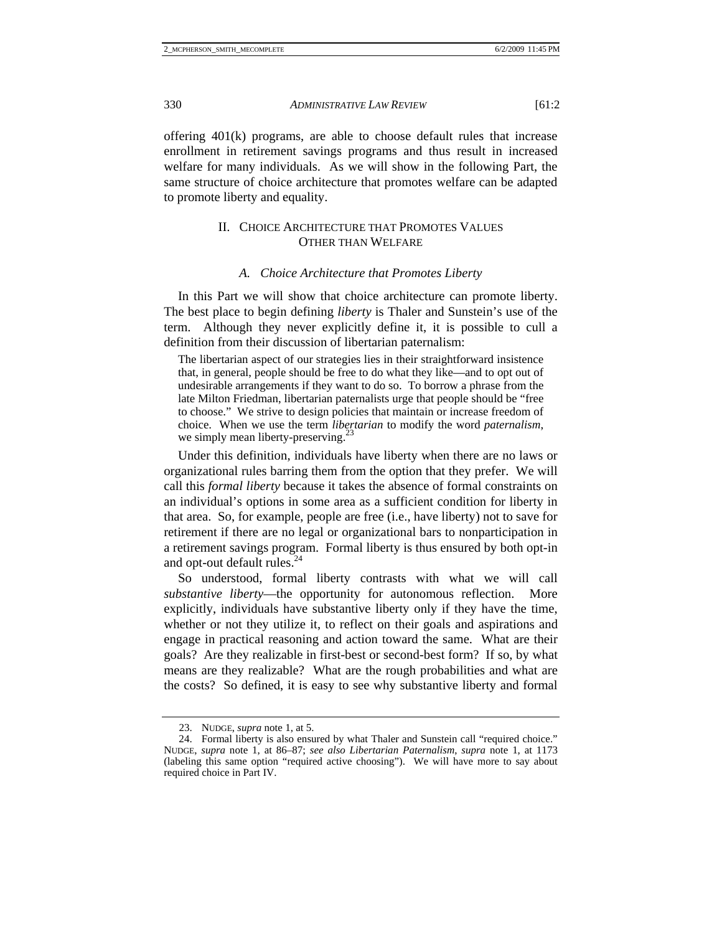offering 401(k) programs, are able to choose default rules that increase enrollment in retirement savings programs and thus result in increased welfare for many individuals. As we will show in the following Part, the same structure of choice architecture that promotes welfare can be adapted to promote liberty and equality.

# II. CHOICE ARCHITECTURE THAT PROMOTES VALUES OTHER THAN WELFARE

## *A. Choice Architecture that Promotes Liberty*

In this Part we will show that choice architecture can promote liberty. The best place to begin defining *liberty* is Thaler and Sunstein's use of the term. Although they never explicitly define it, it is possible to cull a definition from their discussion of libertarian paternalism:

The libertarian aspect of our strategies lies in their straightforward insistence that, in general, people should be free to do what they like—and to opt out of undesirable arrangements if they want to do so. To borrow a phrase from the late Milton Friedman, libertarian paternalists urge that people should be "free to choose." We strive to design policies that maintain or increase freedom of choice. When we use the term *libertarian* to modify the word *paternalism*, we simply mean liberty-preserving.<sup>23</sup>

Under this definition, individuals have liberty when there are no laws or organizational rules barring them from the option that they prefer. We will call this *formal liberty* because it takes the absence of formal constraints on an individual's options in some area as a sufficient condition for liberty in that area. So, for example, people are free (i.e., have liberty) not to save for retirement if there are no legal or organizational bars to nonparticipation in a retirement savings program. Formal liberty is thus ensured by both opt-in and opt-out default rules. $^{24}$ 

So understood, formal liberty contrasts with what we will call *substantive liberty*—the opportunity for autonomous reflection. More explicitly, individuals have substantive liberty only if they have the time, whether or not they utilize it, to reflect on their goals and aspirations and engage in practical reasoning and action toward the same. What are their goals? Are they realizable in first-best or second-best form? If so, by what means are they realizable? What are the rough probabilities and what are the costs? So defined, it is easy to see why substantive liberty and formal

 <sup>23.</sup> NUDGE, *supra* note 1, at 5.

 <sup>24.</sup> Formal liberty is also ensured by what Thaler and Sunstein call "required choice." NUDGE, *supra* note 1, at 86–87; *see also Libertarian Paternalism*, *supra* note 1, at 1173 (labeling this same option "required active choosing"). We will have more to say about required choice in Part IV.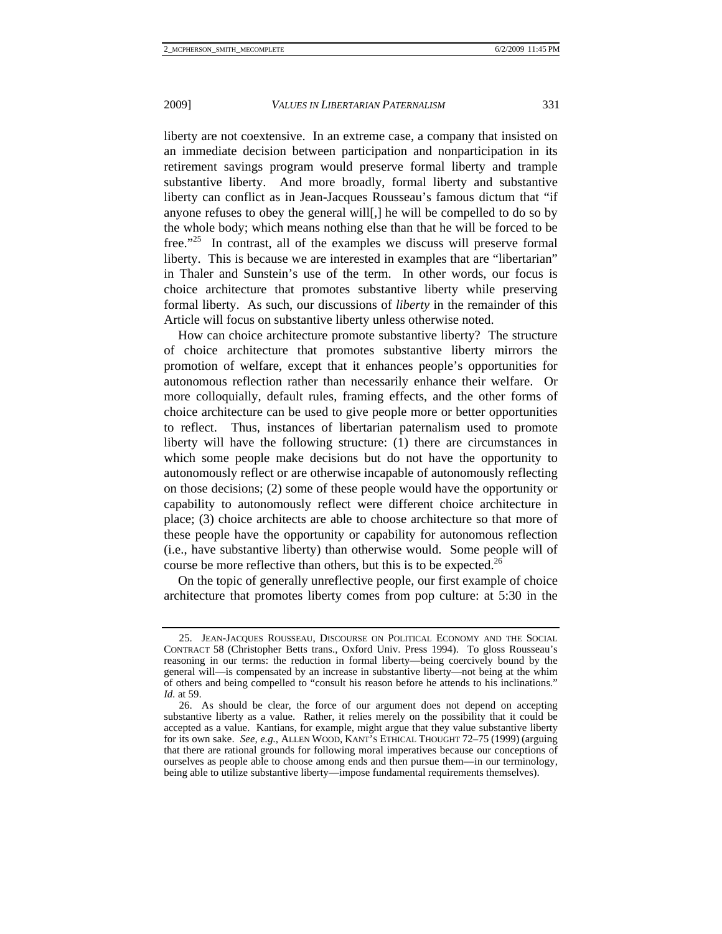liberty are not coextensive. In an extreme case, a company that insisted on an immediate decision between participation and nonparticipation in its retirement savings program would preserve formal liberty and trample substantive liberty. And more broadly, formal liberty and substantive liberty can conflict as in Jean-Jacques Rousseau's famous dictum that "if anyone refuses to obey the general will[,] he will be compelled to do so by the whole body; which means nothing else than that he will be forced to be free."<sup>25</sup> In contrast, all of the examples we discuss will preserve formal liberty. This is because we are interested in examples that are "libertarian" in Thaler and Sunstein's use of the term. In other words, our focus is choice architecture that promotes substantive liberty while preserving formal liberty. As such, our discussions of *liberty* in the remainder of this Article will focus on substantive liberty unless otherwise noted.

How can choice architecture promote substantive liberty? The structure of choice architecture that promotes substantive liberty mirrors the promotion of welfare, except that it enhances people's opportunities for autonomous reflection rather than necessarily enhance their welfare. Or more colloquially, default rules, framing effects, and the other forms of choice architecture can be used to give people more or better opportunities to reflect. Thus, instances of libertarian paternalism used to promote liberty will have the following structure: (1) there are circumstances in which some people make decisions but do not have the opportunity to autonomously reflect or are otherwise incapable of autonomously reflecting on those decisions; (2) some of these people would have the opportunity or capability to autonomously reflect were different choice architecture in place; (3) choice architects are able to choose architecture so that more of these people have the opportunity or capability for autonomous reflection (i.e., have substantive liberty) than otherwise would. Some people will of course be more reflective than others, but this is to be expected.<sup>26</sup>

On the topic of generally unreflective people, our first example of choice architecture that promotes liberty comes from pop culture: at 5:30 in the

 <sup>25.</sup> JEAN-JACQUES ROUSSEAU, DISCOURSE ON POLITICAL ECONOMY AND THE SOCIAL CONTRACT 58 (Christopher Betts trans., Oxford Univ. Press 1994). To gloss Rousseau's reasoning in our terms: the reduction in formal liberty—being coercively bound by the general will—is compensated by an increase in substantive liberty—not being at the whim of others and being compelled to "consult his reason before he attends to his inclinations." *Id.* at 59.

 <sup>26.</sup> As should be clear, the force of our argument does not depend on accepting substantive liberty as a value. Rather, it relies merely on the possibility that it could be accepted as a value. Kantians, for example, might argue that they value substantive liberty for its own sake. *See, e.g.*, ALLEN WOOD, KANT'S ETHICAL THOUGHT 72–75 (1999) (arguing that there are rational grounds for following moral imperatives because our conceptions of ourselves as people able to choose among ends and then pursue them—in our terminology, being able to utilize substantive liberty—impose fundamental requirements themselves).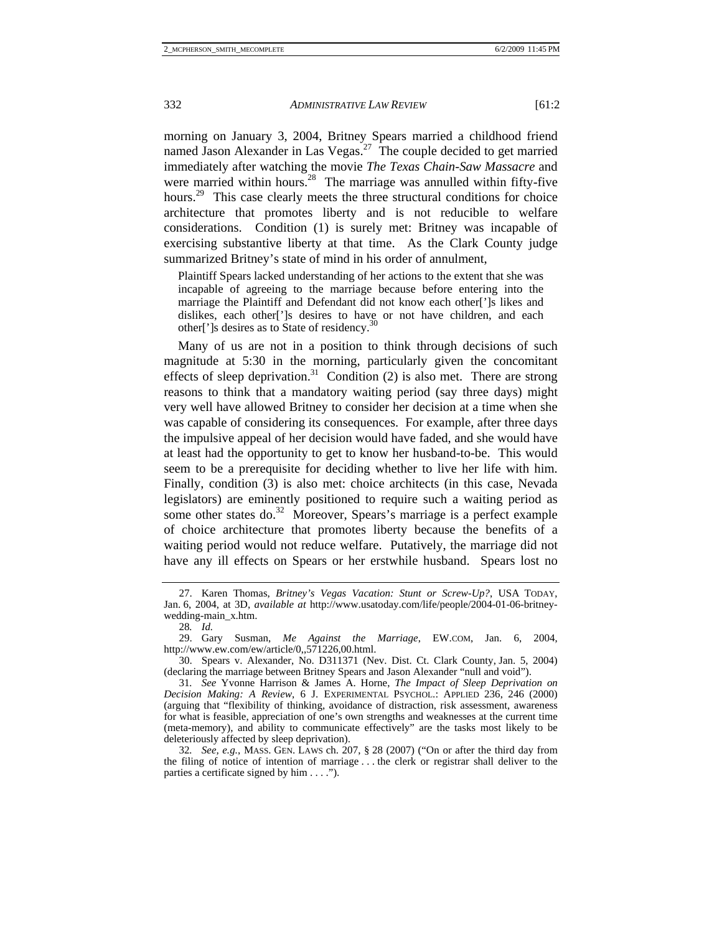morning on January 3, 2004, Britney Spears married a childhood friend named Jason Alexander in Las Vegas. $^{27}$  The couple decided to get married immediately after watching the movie *The Texas Chain-Saw Massacre* and were married within hours.<sup>28</sup> The marriage was annulled within fifty-five hours.<sup>29</sup> This case clearly meets the three structural conditions for choice architecture that promotes liberty and is not reducible to welfare considerations. Condition (1) is surely met: Britney was incapable of exercising substantive liberty at that time. As the Clark County judge summarized Britney's state of mind in his order of annulment,

Plaintiff Spears lacked understanding of her actions to the extent that she was incapable of agreeing to the marriage because before entering into the marriage the Plaintiff and Defendant did not know each other[']s likes and dislikes, each other[']s desires to have or not have children, and each other[']s desires as to State of residency.<sup>3</sup>

Many of us are not in a position to think through decisions of such magnitude at 5:30 in the morning, particularly given the concomitant effects of sleep deprivation.<sup>31</sup> Condition (2) is also met. There are strong reasons to think that a mandatory waiting period (say three days) might very well have allowed Britney to consider her decision at a time when she was capable of considering its consequences. For example, after three days the impulsive appeal of her decision would have faded, and she would have at least had the opportunity to get to know her husband-to-be. This would seem to be a prerequisite for deciding whether to live her life with him. Finally, condition (3) is also met: choice architects (in this case, Nevada legislators) are eminently positioned to require such a waiting period as some other states do.<sup>32</sup> Moreover, Spears's marriage is a perfect example of choice architecture that promotes liberty because the benefits of a waiting period would not reduce welfare. Putatively, the marriage did not have any ill effects on Spears or her erstwhile husband. Spears lost no

 <sup>27.</sup> Karen Thomas, *Britney's Vegas Vacation: Stunt or Screw-Up?*, USA TODAY, Jan. 6, 2004, at 3D, *available at* http://www.usatoday.com/life/people/2004-01-06-britneywedding-main\_x.htm.

<sup>28</sup>*. Id.*

 <sup>29.</sup> Gary Susman, *Me Against the Marriage*, EW.COM, Jan. 6, 2004, http://www.ew.com/ew/article/0,,571226,00.html.

 <sup>30.</sup> Spears v. Alexander, No. D311371 (Nev. Dist. Ct. Clark County, Jan. 5, 2004) (declaring the marriage between Britney Spears and Jason Alexander "null and void").

<sup>31</sup>*. See* Yvonne Harrison & James A. Horne, *The Impact of Sleep Deprivation on Decision Making: A Review*, 6 J. EXPERIMENTAL PSYCHOL.: APPLIED 236, 246 (2000) (arguing that "flexibility of thinking, avoidance of distraction, risk assessment, awareness for what is feasible, appreciation of one's own strengths and weaknesses at the current time (meta-memory), and ability to communicate effectively" are the tasks most likely to be deleteriously affected by sleep deprivation).

<sup>32</sup>*. See, e.g.*, MASS. GEN. LAWS ch. 207, § 28 (2007) ("On or after the third day from the filing of notice of intention of marriage . . . the clerk or registrar shall deliver to the parties a certificate signed by him . . . .").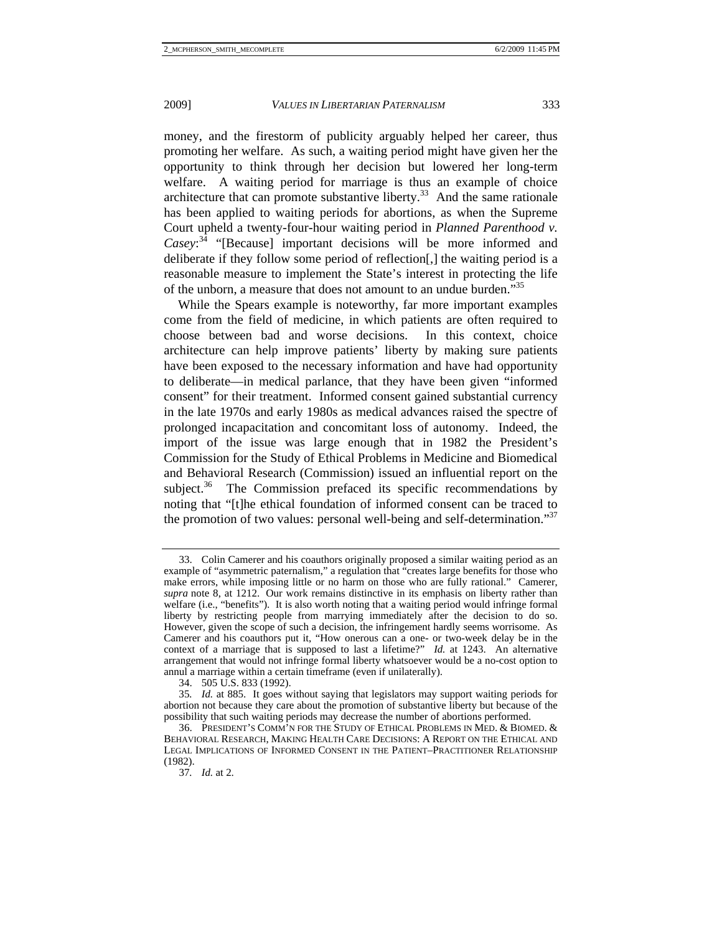money, and the firestorm of publicity arguably helped her career, thus promoting her welfare. As such, a waiting period might have given her the opportunity to think through her decision but lowered her long-term welfare. A waiting period for marriage is thus an example of choice architecture that can promote substantive liberty.<sup>33</sup> And the same rationale has been applied to waiting periods for abortions, as when the Supreme Court upheld a twenty-four-hour waiting period in *Planned Parenthood v. Casey*: 34 "[Because] important decisions will be more informed and deliberate if they follow some period of reflection[,] the waiting period is a reasonable measure to implement the State's interest in protecting the life of the unborn, a measure that does not amount to an undue burden."<sup>35</sup>

While the Spears example is noteworthy, far more important examples come from the field of medicine, in which patients are often required to choose between bad and worse decisions. In this context, choice architecture can help improve patients' liberty by making sure patients have been exposed to the necessary information and have had opportunity to deliberate—in medical parlance, that they have been given "informed consent" for their treatment. Informed consent gained substantial currency in the late 1970s and early 1980s as medical advances raised the spectre of prolonged incapacitation and concomitant loss of autonomy. Indeed, the import of the issue was large enough that in 1982 the President's Commission for the Study of Ethical Problems in Medicine and Biomedical and Behavioral Research (Commission) issued an influential report on the subject.<sup>36</sup> The Commission prefaced its specific recommendations by noting that "[t]he ethical foundation of informed consent can be traced to the promotion of two values: personal well-being and self-determination."<sup>37</sup>

 <sup>33.</sup> Colin Camerer and his coauthors originally proposed a similar waiting period as an example of "asymmetric paternalism," a regulation that "creates large benefits for those who make errors, while imposing little or no harm on those who are fully rational." Camerer, *supra* note 8, at 1212. Our work remains distinctive in its emphasis on liberty rather than welfare (i.e., "benefits"). It is also worth noting that a waiting period would infringe formal liberty by restricting people from marrying immediately after the decision to do so. However, given the scope of such a decision, the infringement hardly seems worrisome. As Camerer and his coauthors put it, "How onerous can a one- or two-week delay be in the context of a marriage that is supposed to last a lifetime?" *Id.* at 1243. An alternative arrangement that would not infringe formal liberty whatsoever would be a no-cost option to annul a marriage within a certain timeframe (even if unilaterally).

 <sup>34. 505</sup> U.S. 833 (1992).

<sup>35</sup>*. Id.* at 885. It goes without saying that legislators may support waiting periods for abortion not because they care about the promotion of substantive liberty but because of the possibility that such waiting periods may decrease the number of abortions performed.

 <sup>36.</sup> PRESIDENT'S COMM'N FOR THE STUDY OF ETHICAL PROBLEMS IN MED. & BIOMED. & BEHAVIORAL RESEARCH, MAKING HEALTH CARE DECISIONS: A REPORT ON THE ETHICAL AND LEGAL IMPLICATIONS OF INFORMED CONSENT IN THE PATIENT–PRACTITIONER RELATIONSHIP (1982).

<sup>37</sup>*. Id.* at 2.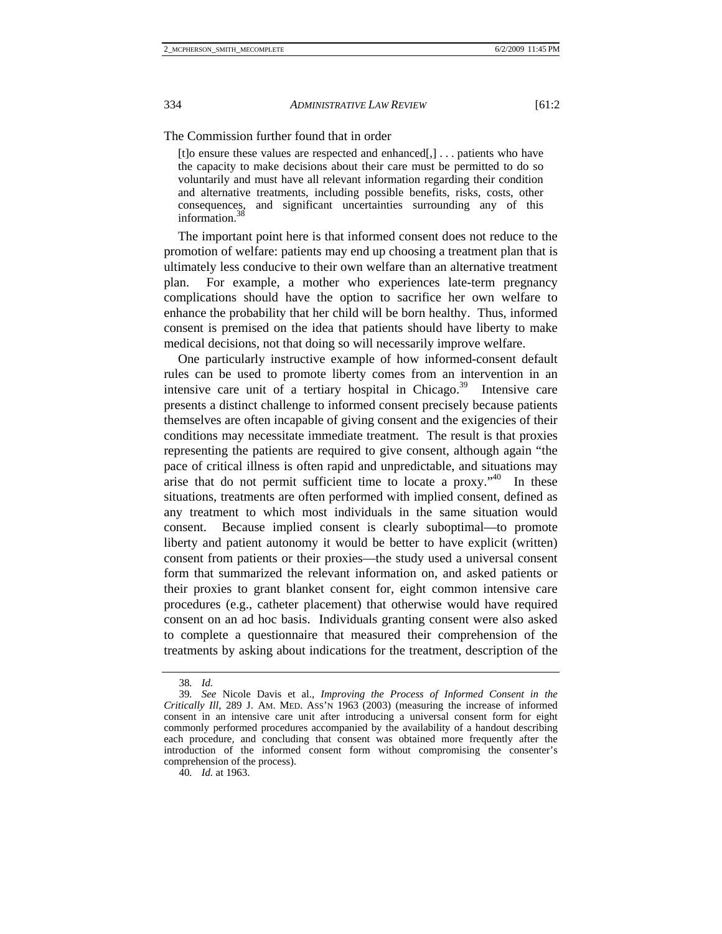The Commission further found that in order

[t]o ensure these values are respected and enhanced[,] . . . patients who have the capacity to make decisions about their care must be permitted to do so voluntarily and must have all relevant information regarding their condition and alternative treatments, including possible benefits, risks, costs, other consequences, and significant uncertainties surrounding any of this information.

The important point here is that informed consent does not reduce to the promotion of welfare: patients may end up choosing a treatment plan that is ultimately less conducive to their own welfare than an alternative treatment plan. For example, a mother who experiences late-term pregnancy complications should have the option to sacrifice her own welfare to enhance the probability that her child will be born healthy. Thus, informed consent is premised on the idea that patients should have liberty to make medical decisions, not that doing so will necessarily improve welfare.

One particularly instructive example of how informed-consent default rules can be used to promote liberty comes from an intervention in an intensive care unit of a tertiary hospital in Chicago. $39$  Intensive care presents a distinct challenge to informed consent precisely because patients themselves are often incapable of giving consent and the exigencies of their conditions may necessitate immediate treatment. The result is that proxies representing the patients are required to give consent, although again "the pace of critical illness is often rapid and unpredictable, and situations may arise that do not permit sufficient time to locate a proxy."40 In these situations, treatments are often performed with implied consent, defined as any treatment to which most individuals in the same situation would consent. Because implied consent is clearly suboptimal—to promote liberty and patient autonomy it would be better to have explicit (written) consent from patients or their proxies—the study used a universal consent form that summarized the relevant information on, and asked patients or their proxies to grant blanket consent for, eight common intensive care procedures (e.g., catheter placement) that otherwise would have required consent on an ad hoc basis. Individuals granting consent were also asked to complete a questionnaire that measured their comprehension of the treatments by asking about indications for the treatment, description of the

40*. Id.* at 1963.

<sup>38</sup>*. Id.*

<sup>39</sup>*. See* Nicole Davis et al., *Improving the Process of Informed Consent in the Critically Ill*, 289 J. AM. MED. ASS'N 1963 (2003) (measuring the increase of informed consent in an intensive care unit after introducing a universal consent form for eight commonly performed procedures accompanied by the availability of a handout describing each procedure, and concluding that consent was obtained more frequently after the introduction of the informed consent form without compromising the consenter's comprehension of the process).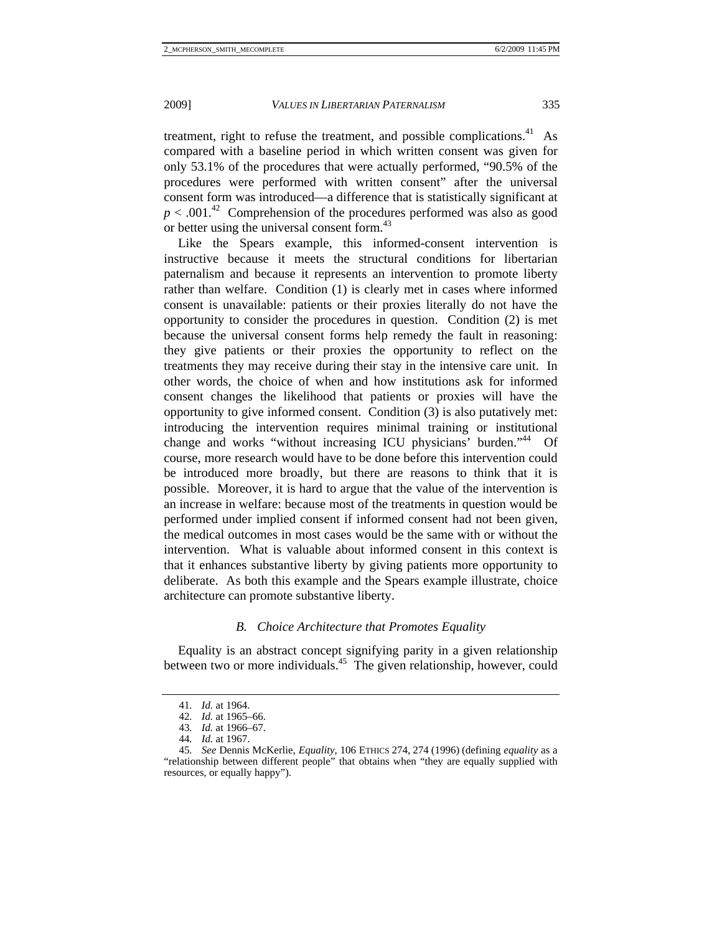treatment, right to refuse the treatment, and possible complications.<sup>41</sup> As compared with a baseline period in which written consent was given for only 53.1% of the procedures that were actually performed, "90.5% of the procedures were performed with written consent" after the universal consent form was introduced—a difference that is statistically significant at  $p < .001<sup>42</sup>$  Comprehension of the procedures performed was also as good or better using the universal consent form.<sup>43</sup>

Like the Spears example, this informed-consent intervention is instructive because it meets the structural conditions for libertarian paternalism and because it represents an intervention to promote liberty rather than welfare. Condition (1) is clearly met in cases where informed consent is unavailable: patients or their proxies literally do not have the opportunity to consider the procedures in question. Condition (2) is met because the universal consent forms help remedy the fault in reasoning: they give patients or their proxies the opportunity to reflect on the treatments they may receive during their stay in the intensive care unit. In other words, the choice of when and how institutions ask for informed consent changes the likelihood that patients or proxies will have the opportunity to give informed consent. Condition (3) is also putatively met: introducing the intervention requires minimal training or institutional change and works "without increasing ICU physicians' burden."<sup>44</sup> Of course, more research would have to be done before this intervention could be introduced more broadly, but there are reasons to think that it is possible. Moreover, it is hard to argue that the value of the intervention is an increase in welfare: because most of the treatments in question would be performed under implied consent if informed consent had not been given, the medical outcomes in most cases would be the same with or without the intervention. What is valuable about informed consent in this context is that it enhances substantive liberty by giving patients more opportunity to deliberate. As both this example and the Spears example illustrate, choice architecture can promote substantive liberty.

# *B. Choice Architecture that Promotes Equality*

Equality is an abstract concept signifying parity in a given relationship between two or more individuals.<sup>45</sup> The given relationship, however, could

<sup>41</sup>*. Id.* at 1964.

<sup>42</sup>*. Id.* at 1965–66.

<sup>43</sup>*. Id.* at 1966–67.

<sup>44</sup>*. Id.* at 1967.

<sup>45</sup>*. See* Dennis McKerlie, *Equality*, 106 ETHICS 274, 274 (1996) (defining *equality* as a "relationship between different people" that obtains when "they are equally supplied with resources, or equally happy").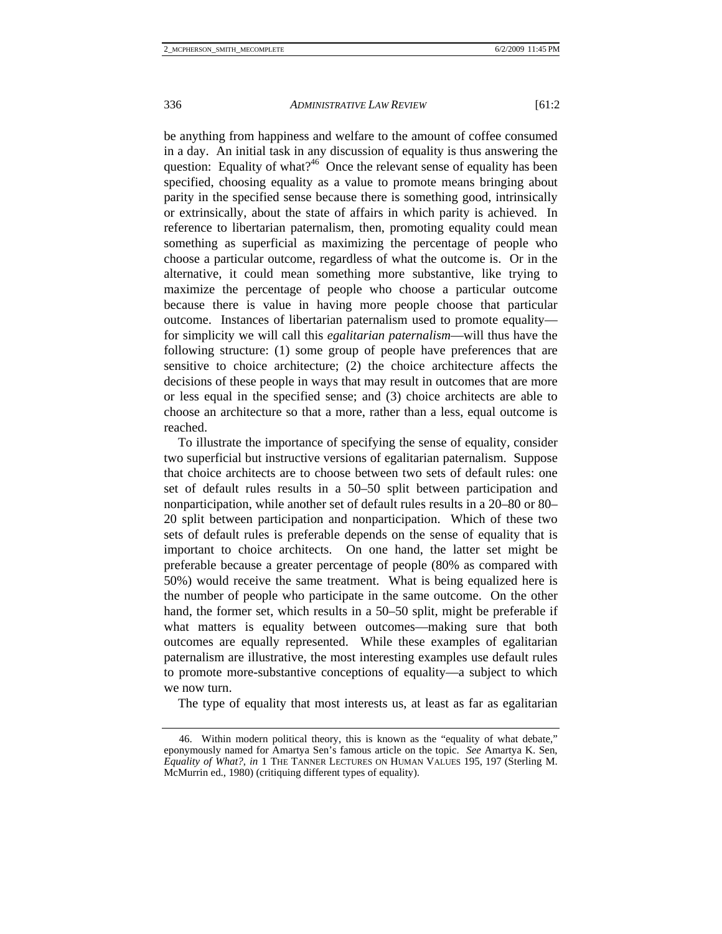be anything from happiness and welfare to the amount of coffee consumed in a day. An initial task in any discussion of equality is thus answering the question: Equality of what?<sup>46</sup> Once the relevant sense of equality has been specified, choosing equality as a value to promote means bringing about parity in the specified sense because there is something good, intrinsically or extrinsically, about the state of affairs in which parity is achieved. In reference to libertarian paternalism, then, promoting equality could mean something as superficial as maximizing the percentage of people who choose a particular outcome, regardless of what the outcome is. Or in the alternative, it could mean something more substantive, like trying to maximize the percentage of people who choose a particular outcome because there is value in having more people choose that particular outcome. Instances of libertarian paternalism used to promote equality for simplicity we will call this *egalitarian paternalism*—will thus have the following structure: (1) some group of people have preferences that are sensitive to choice architecture; (2) the choice architecture affects the decisions of these people in ways that may result in outcomes that are more or less equal in the specified sense; and (3) choice architects are able to choose an architecture so that a more, rather than a less, equal outcome is reached.

To illustrate the importance of specifying the sense of equality, consider two superficial but instructive versions of egalitarian paternalism. Suppose that choice architects are to choose between two sets of default rules: one set of default rules results in a 50–50 split between participation and nonparticipation, while another set of default rules results in a 20–80 or 80– 20 split between participation and nonparticipation. Which of these two sets of default rules is preferable depends on the sense of equality that is important to choice architects. On one hand, the latter set might be preferable because a greater percentage of people (80% as compared with 50%) would receive the same treatment. What is being equalized here is the number of people who participate in the same outcome. On the other hand, the former set, which results in a 50–50 split, might be preferable if what matters is equality between outcomes—making sure that both outcomes are equally represented. While these examples of egalitarian paternalism are illustrative, the most interesting examples use default rules to promote more-substantive conceptions of equality—a subject to which we now turn.

The type of equality that most interests us, at least as far as egalitarian

 <sup>46.</sup> Within modern political theory, this is known as the "equality of what debate," eponymously named for Amartya Sen's famous article on the topic. *See* Amartya K. Sen, *Equality of What?*, *in* 1 THE TANNER LECTURES ON HUMAN VALUES 195, 197 (Sterling M. McMurrin ed., 1980) (critiquing different types of equality).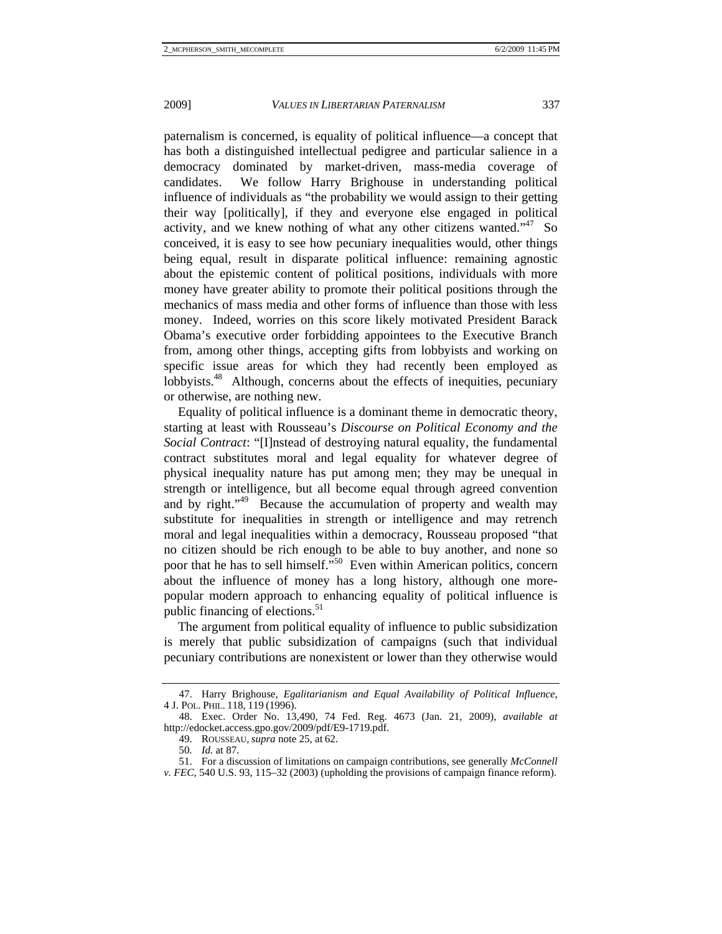paternalism is concerned, is equality of political influence—a concept that has both a distinguished intellectual pedigree and particular salience in a democracy dominated by market-driven, mass-media coverage of candidates. We follow Harry Brighouse in understanding political influence of individuals as "the probability we would assign to their getting their way [politically], if they and everyone else engaged in political activity, and we knew nothing of what any other citizens wanted." $47\,$  So conceived, it is easy to see how pecuniary inequalities would, other things being equal, result in disparate political influence: remaining agnostic about the epistemic content of political positions, individuals with more money have greater ability to promote their political positions through the mechanics of mass media and other forms of influence than those with less money. Indeed, worries on this score likely motivated President Barack Obama's executive order forbidding appointees to the Executive Branch from, among other things, accepting gifts from lobbyists and working on specific issue areas for which they had recently been employed as lobbyists.<sup>48</sup> Although, concerns about the effects of inequities, pecuniary or otherwise, are nothing new.

Equality of political influence is a dominant theme in democratic theory, starting at least with Rousseau's *Discourse on Political Economy and the Social Contract*: "[I]nstead of destroying natural equality, the fundamental contract substitutes moral and legal equality for whatever degree of physical inequality nature has put among men; they may be unequal in strength or intelligence, but all become equal through agreed convention and by right."<sup>49</sup> Because the accumulation of property and wealth may substitute for inequalities in strength or intelligence and may retrench moral and legal inequalities within a democracy, Rousseau proposed "that no citizen should be rich enough to be able to buy another, and none so poor that he has to sell himself."<sup>50</sup> Even within American politics, concern about the influence of money has a long history, although one morepopular modern approach to enhancing equality of political influence is public financing of elections.<sup>51</sup>

The argument from political equality of influence to public subsidization is merely that public subsidization of campaigns (such that individual pecuniary contributions are nonexistent or lower than they otherwise would

 <sup>47.</sup> Harry Brighouse, *Egalitarianism and Equal Availability of Political Influence*, 4 J. POL. PHIL. 118, 119 (1996).

 <sup>48.</sup> Exec. Order No. 13,490, 74 Fed. Reg. 4673 (Jan. 21, 2009), *available at* http://edocket.access.gpo.gov/2009/pdf/E9-1719.pdf.

 <sup>49.</sup> ROUSSEAU, *supra* note 25, at 62.

<sup>50</sup>*. Id.* at 87.

 <sup>51.</sup> For a discussion of limitations on campaign contributions, see generally *McConnell v. FEC*, 540 U.S. 93, 115–32 (2003) (upholding the provisions of campaign finance reform).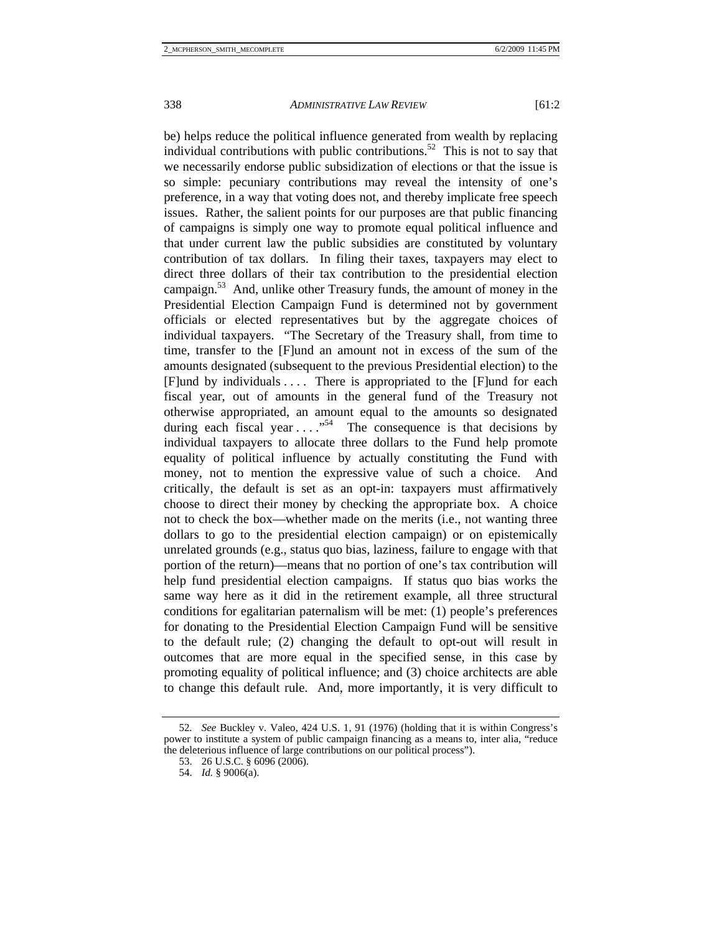be) helps reduce the political influence generated from wealth by replacing individual contributions with public contributions.<sup>52</sup> This is not to say that we necessarily endorse public subsidization of elections or that the issue is so simple: pecuniary contributions may reveal the intensity of one's preference, in a way that voting does not, and thereby implicate free speech issues. Rather, the salient points for our purposes are that public financing of campaigns is simply one way to promote equal political influence and that under current law the public subsidies are constituted by voluntary contribution of tax dollars. In filing their taxes, taxpayers may elect to direct three dollars of their tax contribution to the presidential election campaign.<sup>53</sup> And, unlike other Treasury funds, the amount of money in the Presidential Election Campaign Fund is determined not by government officials or elected representatives but by the aggregate choices of individual taxpayers. "The Secretary of the Treasury shall, from time to time, transfer to the [F]und an amount not in excess of the sum of the amounts designated (subsequent to the previous Presidential election) to the [F]und by individuals . . . . There is appropriated to the [F]und for each fiscal year, out of amounts in the general fund of the Treasury not otherwise appropriated, an amount equal to the amounts so designated during each fiscal year  $\dots$ ."<sup>54</sup> The consequence is that decisions by individual taxpayers to allocate three dollars to the Fund help promote equality of political influence by actually constituting the Fund with money, not to mention the expressive value of such a choice. And critically, the default is set as an opt-in: taxpayers must affirmatively choose to direct their money by checking the appropriate box. A choice not to check the box—whether made on the merits (i.e., not wanting three dollars to go to the presidential election campaign) or on epistemically unrelated grounds (e.g., status quo bias, laziness, failure to engage with that portion of the return)—means that no portion of one's tax contribution will help fund presidential election campaigns. If status quo bias works the same way here as it did in the retirement example, all three structural conditions for egalitarian paternalism will be met: (1) people's preferences for donating to the Presidential Election Campaign Fund will be sensitive to the default rule; (2) changing the default to opt-out will result in outcomes that are more equal in the specified sense, in this case by promoting equality of political influence; and (3) choice architects are able to change this default rule. And, more importantly, it is very difficult to

<sup>52</sup>*. See* Buckley v. Valeo, 424 U.S. 1, 91 (1976) (holding that it is within Congress's power to institute a system of public campaign financing as a means to, inter alia, "reduce the deleterious influence of large contributions on our political process").

 <sup>53. 26</sup> U.S.C. § 6096 (2006).

 <sup>54.</sup> *Id.* § 9006(a).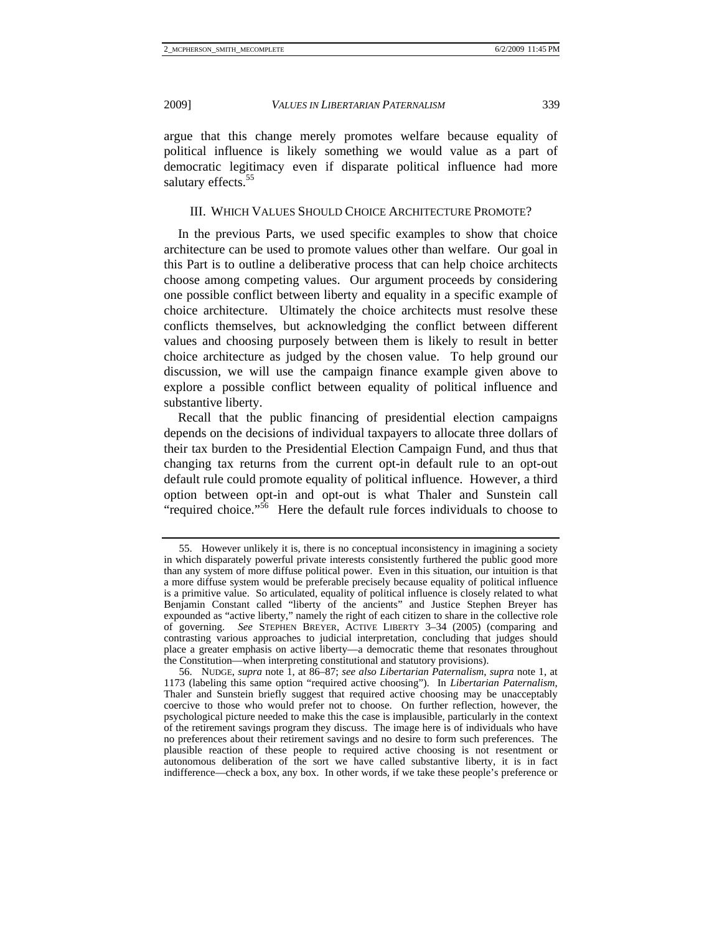argue that this change merely promotes welfare because equality of political influence is likely something we would value as a part of democratic legitimacy even if disparate political influence had more salutary effects.<sup>55</sup>

## III. WHICH VALUES SHOULD CHOICE ARCHITECTURE PROMOTE?

In the previous Parts, we used specific examples to show that choice architecture can be used to promote values other than welfare. Our goal in this Part is to outline a deliberative process that can help choice architects choose among competing values. Our argument proceeds by considering one possible conflict between liberty and equality in a specific example of choice architecture. Ultimately the choice architects must resolve these conflicts themselves, but acknowledging the conflict between different values and choosing purposely between them is likely to result in better choice architecture as judged by the chosen value. To help ground our discussion, we will use the campaign finance example given above to explore a possible conflict between equality of political influence and substantive liberty.

Recall that the public financing of presidential election campaigns depends on the decisions of individual taxpayers to allocate three dollars of their tax burden to the Presidential Election Campaign Fund, and thus that changing tax returns from the current opt-in default rule to an opt-out default rule could promote equality of political influence. However, a third option between opt-in and opt-out is what Thaler and Sunstein call "required choice."56 Here the default rule forces individuals to choose to

 <sup>55.</sup> However unlikely it is, there is no conceptual inconsistency in imagining a society in which disparately powerful private interests consistently furthered the public good more than any system of more diffuse political power. Even in this situation, our intuition is that a more diffuse system would be preferable precisely because equality of political influence is a primitive value. So articulated, equality of political influence is closely related to what Benjamin Constant called "liberty of the ancients" and Justice Stephen Breyer has expounded as "active liberty," namely the right of each citizen to share in the collective role of governing. *See* STEPHEN BREYER, ACTIVE LIBERTY 3–34 (2005) (comparing and contrasting various approaches to judicial interpretation, concluding that judges should place a greater emphasis on active liberty—a democratic theme that resonates throughout the Constitution—when interpreting constitutional and statutory provisions).

 <sup>56.</sup> NUDGE, *supra* note 1, at 86–87; *see also Libertarian Paternalism*, *supra* note 1, at 1173 (labeling this same option "required active choosing"). In *Libertarian Paternalism*, Thaler and Sunstein briefly suggest that required active choosing may be unacceptably coercive to those who would prefer not to choose. On further reflection, however, the psychological picture needed to make this the case is implausible, particularly in the context of the retirement savings program they discuss. The image here is of individuals who have no preferences about their retirement savings and no desire to form such preferences. The plausible reaction of these people to required active choosing is not resentment or autonomous deliberation of the sort we have called substantive liberty, it is in fact indifference—check a box, any box. In other words, if we take these people's preference or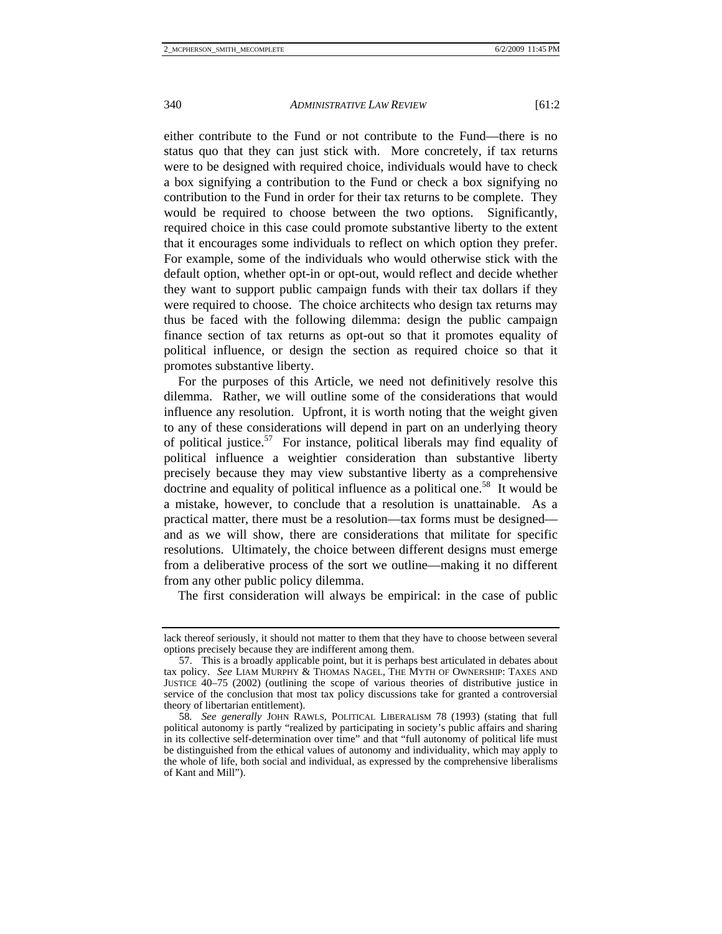either contribute to the Fund or not contribute to the Fund—there is no status quo that they can just stick with. More concretely, if tax returns were to be designed with required choice, individuals would have to check a box signifying a contribution to the Fund or check a box signifying no contribution to the Fund in order for their tax returns to be complete. They would be required to choose between the two options. Significantly, required choice in this case could promote substantive liberty to the extent that it encourages some individuals to reflect on which option they prefer. For example, some of the individuals who would otherwise stick with the default option, whether opt-in or opt-out, would reflect and decide whether they want to support public campaign funds with their tax dollars if they were required to choose. The choice architects who design tax returns may

thus be faced with the following dilemma: design the public campaign finance section of tax returns as opt-out so that it promotes equality of political influence, or design the section as required choice so that it promotes substantive liberty.

For the purposes of this Article, we need not definitively resolve this dilemma. Rather, we will outline some of the considerations that would influence any resolution. Upfront, it is worth noting that the weight given to any of these considerations will depend in part on an underlying theory of political justice.<sup>57</sup> For instance, political liberals may find equality of political influence a weightier consideration than substantive liberty precisely because they may view substantive liberty as a comprehensive doctrine and equality of political influence as a political one.<sup>58</sup> It would be a mistake, however, to conclude that a resolution is unattainable. As a practical matter, there must be a resolution—tax forms must be designed and as we will show, there are considerations that militate for specific resolutions. Ultimately, the choice between different designs must emerge from a deliberative process of the sort we outline—making it no different from any other public policy dilemma.

The first consideration will always be empirical: in the case of public

lack thereof seriously, it should not matter to them that they have to choose between several options precisely because they are indifferent among them.

 <sup>57.</sup> This is a broadly applicable point, but it is perhaps best articulated in debates about tax policy. *See* LIAM MURPHY & THOMAS NAGEL, THE MYTH OF OWNERSHIP: TAXES AND JUSTICE 40–75 (2002) (outlining the scope of various theories of distributive justice in service of the conclusion that most tax policy discussions take for granted a controversial theory of libertarian entitlement).

<sup>58</sup>*. See generally* JOHN RAWLS, POLITICAL LIBERALISM 78 (1993) (stating that full political autonomy is partly "realized by participating in society's public affairs and sharing in its collective self-determination over time" and that "full autonomy of political life must be distinguished from the ethical values of autonomy and individuality, which may apply to the whole of life, both social and individual, as expressed by the comprehensive liberalisms of Kant and Mill").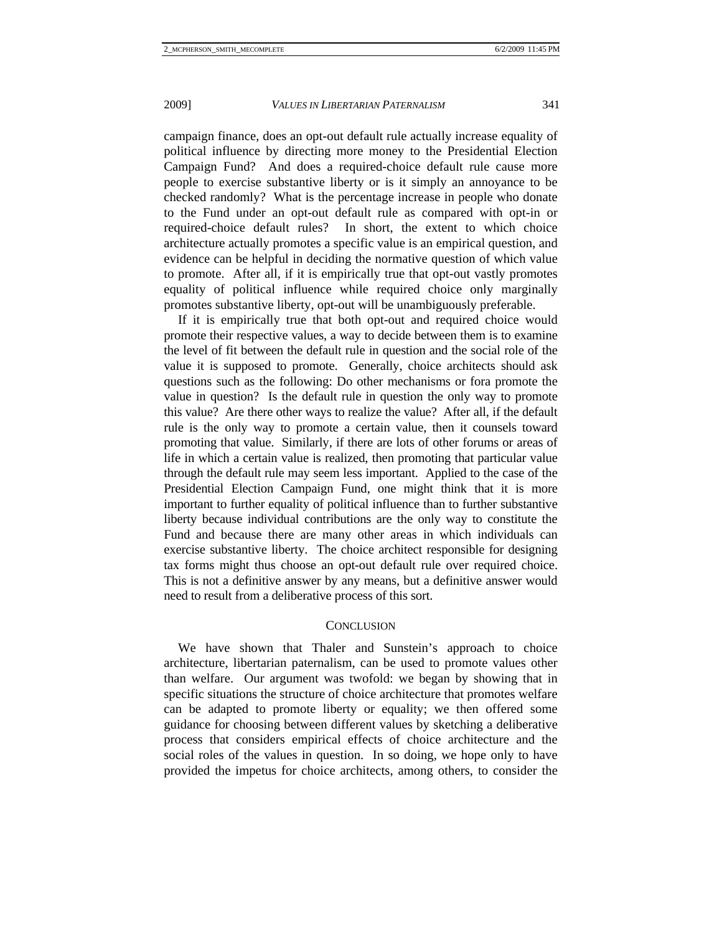campaign finance, does an opt-out default rule actually increase equality of political influence by directing more money to the Presidential Election Campaign Fund? And does a required-choice default rule cause more people to exercise substantive liberty or is it simply an annoyance to be checked randomly? What is the percentage increase in people who donate to the Fund under an opt-out default rule as compared with opt-in or required-choice default rules? In short, the extent to which choice architecture actually promotes a specific value is an empirical question, and evidence can be helpful in deciding the normative question of which value to promote. After all, if it is empirically true that opt-out vastly promotes equality of political influence while required choice only marginally promotes substantive liberty, opt-out will be unambiguously preferable.

If it is empirically true that both opt-out and required choice would promote their respective values, a way to decide between them is to examine the level of fit between the default rule in question and the social role of the value it is supposed to promote. Generally, choice architects should ask questions such as the following: Do other mechanisms or fora promote the value in question? Is the default rule in question the only way to promote this value? Are there other ways to realize the value? After all, if the default rule is the only way to promote a certain value, then it counsels toward promoting that value. Similarly, if there are lots of other forums or areas of life in which a certain value is realized, then promoting that particular value through the default rule may seem less important. Applied to the case of the Presidential Election Campaign Fund, one might think that it is more important to further equality of political influence than to further substantive liberty because individual contributions are the only way to constitute the Fund and because there are many other areas in which individuals can exercise substantive liberty. The choice architect responsible for designing tax forms might thus choose an opt-out default rule over required choice. This is not a definitive answer by any means, but a definitive answer would need to result from a deliberative process of this sort.

#### **CONCLUSION**

We have shown that Thaler and Sunstein's approach to choice architecture, libertarian paternalism, can be used to promote values other than welfare. Our argument was twofold: we began by showing that in specific situations the structure of choice architecture that promotes welfare can be adapted to promote liberty or equality; we then offered some guidance for choosing between different values by sketching a deliberative process that considers empirical effects of choice architecture and the social roles of the values in question. In so doing, we hope only to have provided the impetus for choice architects, among others, to consider the